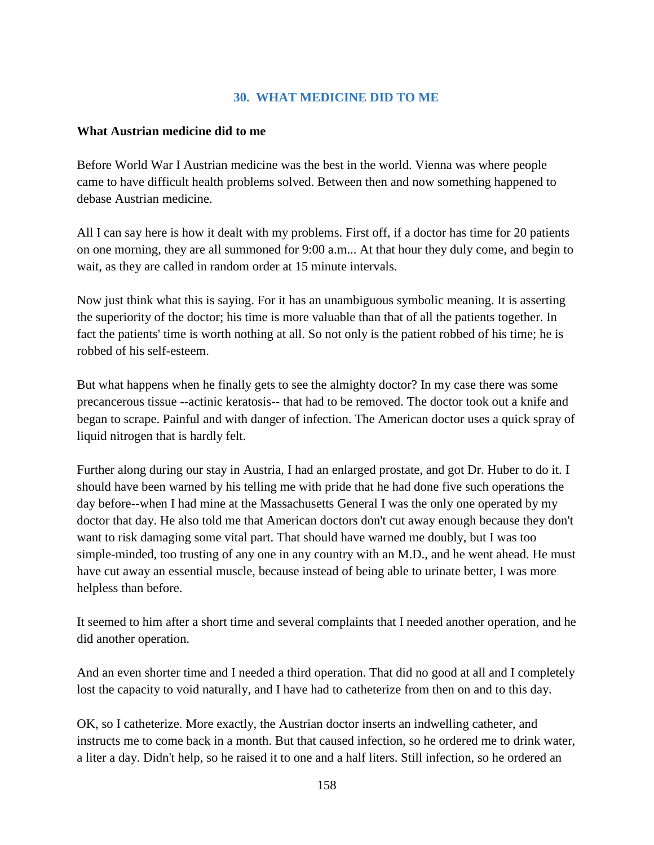## **30. WHAT MEDICINE DID TO ME**

## **What Austrian medicine did to me**

Before World War I Austrian medicine was the best in the world. Vienna was where people came to have difficult health problems solved. Between then and now something happened to debase Austrian medicine.

All I can say here is how it dealt with my problems. First off, if a doctor has time for 20 patients on one morning, they are all summoned for 9:00 a.m... At that hour they duly come, and begin to wait, as they are called in random order at 15 minute intervals.

Now just think what this is saying. For it has an unambiguous symbolic meaning. It is asserting the superiority of the doctor; his time is more valuable than that of all the patients together. In fact the patients' time is worth nothing at all. So not only is the patient robbed of his time; he is robbed of his self-esteem.

But what happens when he finally gets to see the almighty doctor? In my case there was some precancerous tissue --actinic keratosis-- that had to be removed. The doctor took out a knife and began to scrape. Painful and with danger of infection. The American doctor uses a quick spray of liquid nitrogen that is hardly felt.

Further along during our stay in Austria, I had an enlarged prostate, and got Dr. Huber to do it. I should have been warned by his telling me with pride that he had done five such operations the day before--when I had mine at the Massachusetts General I was the only one operated by my doctor that day. He also told me that American doctors don't cut away enough because they don't want to risk damaging some vital part. That should have warned me doubly, but I was too simple-minded, too trusting of any one in any country with an M.D., and he went ahead. He must have cut away an essential muscle, because instead of being able to urinate better, I was more helpless than before.

It seemed to him after a short time and several complaints that I needed another operation, and he did another operation.

And an even shorter time and I needed a third operation. That did no good at all and I completely lost the capacity to void naturally, and I have had to catheterize from then on and to this day.

OK, so I catheterize. More exactly, the Austrian doctor inserts an indwelling catheter, and instructs me to come back in a month. But that caused infection, so he ordered me to drink water, a liter a day. Didn't help, so he raised it to one and a half liters. Still infection, so he ordered an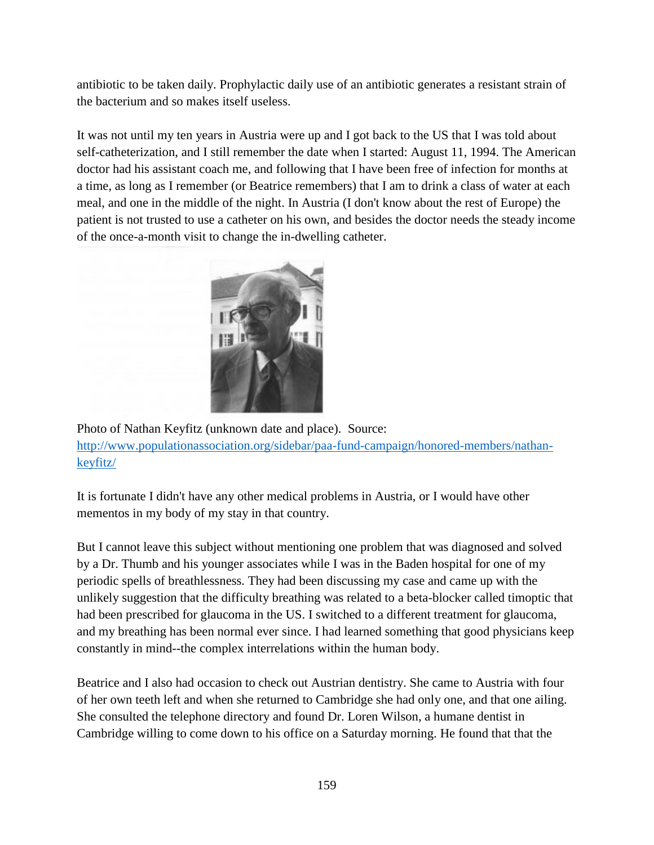antibiotic to be taken daily. Prophylactic daily use of an antibiotic generates a resistant strain of the bacterium and so makes itself useless.

It was not until my ten years in Austria were up and I got back to the US that I was told about self-catheterization, and I still remember the date when I started: August 11, 1994. The American doctor had his assistant coach me, and following that I have been free of infection for months at a time, as long as I remember (or Beatrice remembers) that I am to drink a class of water at each meal, and one in the middle of the night. In Austria (I don't know about the rest of Europe) the patient is not trusted to use a catheter on his own, and besides the doctor needs the steady income of the once-a-month visit to change the in-dwelling catheter.



Photo of Nathan Keyfitz (unknown date and place). Source: [http://www.populationassociation.org/sidebar/paa-fund-campaign/honored-members/nathan](http://www.populationassociation.org/sidebar/paa-fund-campaign/honored-members/nathan-keyfitz/)[keyfitz/](http://www.populationassociation.org/sidebar/paa-fund-campaign/honored-members/nathan-keyfitz/)

It is fortunate I didn't have any other medical problems in Austria, or I would have other mementos in my body of my stay in that country.

But I cannot leave this subject without mentioning one problem that was diagnosed and solved by a Dr. Thumb and his younger associates while I was in the Baden hospital for one of my periodic spells of breathlessness. They had been discussing my case and came up with the unlikely suggestion that the difficulty breathing was related to a beta-blocker called timoptic that had been prescribed for glaucoma in the US. I switched to a different treatment for glaucoma, and my breathing has been normal ever since. I had learned something that good physicians keep constantly in mind--the complex interrelations within the human body.

Beatrice and I also had occasion to check out Austrian dentistry. She came to Austria with four of her own teeth left and when she returned to Cambridge she had only one, and that one ailing. She consulted the telephone directory and found Dr. Loren Wilson, a humane dentist in Cambridge willing to come down to his office on a Saturday morning. He found that that the